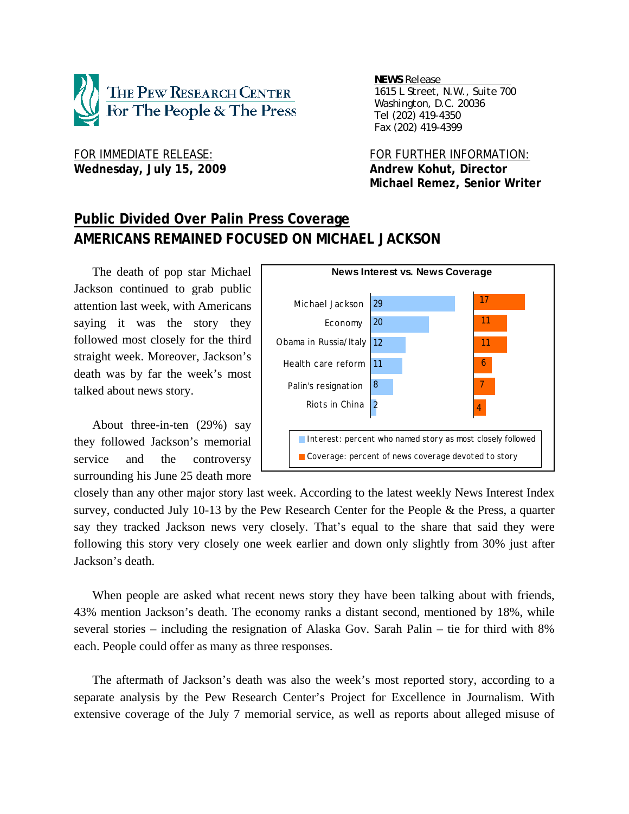

Wednesday, July 15, 2009 **Andrew Kohut, Director** 

*NEWS Release . 1615 L Street, N.W., Suite 700 Washington, D.C. 20036 Tel (202) 419-4350 Fax (202) 419-4399*

FOR IMMEDIATE RELEASE: FOR FURTHER INFORMATION:  **Michael Remez, Senior Writer** 

# **Public Divided Over Palin Press Coverage AMERICANS REMAINED FOCUSED ON MICHAEL JACKSON**

The death of pop star Michael Jackson continued to grab public attention last week, with Americans saying it was the story they followed most closely for the third straight week. Moreover, Jackson's death was by far the week's most talked about news story.

About three-in-ten (29%) say they followed Jackson's memorial service and the controversy surrounding his June 25 death more



closely than any other major story last week. According to the latest weekly News Interest Index survey, conducted July 10-13 by the Pew Research Center for the People & the Press, a quarter say they tracked Jackson news very closely. That's equal to the share that said they were following this story very closely one week earlier and down only slightly from 30% just after Jackson's death.

When people are asked what recent news story they have been talking about with friends, 43% mention Jackson's death. The economy ranks a distant second, mentioned by 18%, while several stories – including the resignation of Alaska Gov. Sarah Palin – tie for third with 8% each. People could offer as many as three responses.

The aftermath of Jackson's death was also the week's most reported story, according to a separate analysis by the Pew Research Center's Project for Excellence in Journalism. With extensive coverage of the July 7 memorial service, as well as reports about alleged misuse of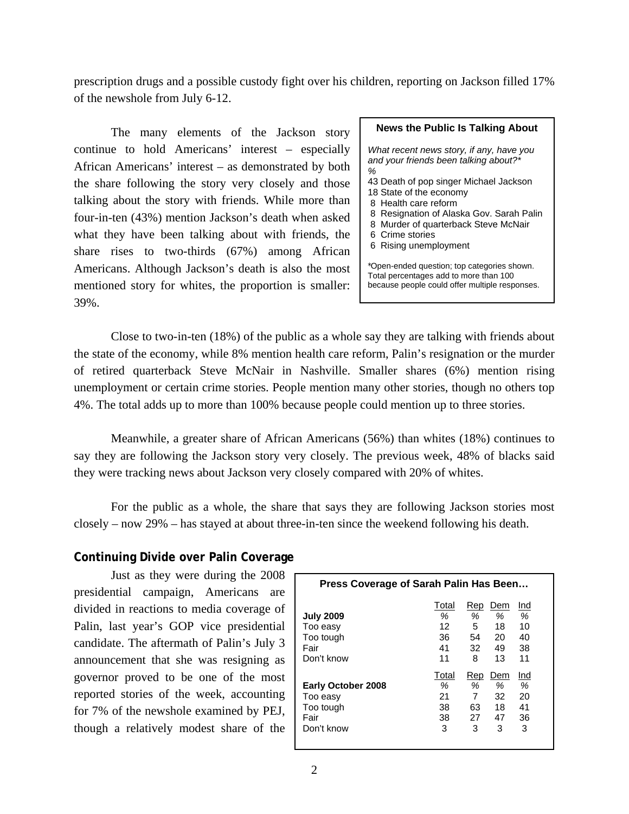prescription drugs and a possible custody fight over his children, reporting on Jackson filled 17% of the newshole from July 6-12.

The many elements of the Jackson story continue to hold Americans' interest – especially African Americans' interest – as demonstrated by both the share following the story very closely and those talking about the story with friends. While more than four-in-ten (43%) mention Jackson's death when asked what they have been talking about with friends, the share rises to two-thirds (67%) among African Americans. Although Jackson's death is also the most mentioned story for whites, the proportion is smaller: 39%.

| <b>News the Public Is Talking About</b>                                                                                                                          |
|------------------------------------------------------------------------------------------------------------------------------------------------------------------|
| What recent news story, if any, have you<br>and your friends been talking about?*<br>%                                                                           |
| 43 Death of pop singer Michael Jackson<br>18 State of the economy<br>8 Health care reform                                                                        |
| 8 Resignation of Alaska Gov. Sarah Palin<br>8 Murder of quarterback Steve McNair<br>6 Crime stories                                                              |
| 6 Rising unemployment<br>*Open-ended question; top categories shown.<br>Total percentages add to more than 100<br>because people could offer multiple responses. |

 Close to two-in-ten (18%) of the public as a whole say they are talking with friends about the state of the economy, while 8% mention health care reform, Palin's resignation or the murder of retired quarterback Steve McNair in Nashville. Smaller shares (6%) mention rising unemployment or certain crime stories. People mention many other stories, though no others top 4%. The total adds up to more than 100% because people could mention up to three stories.

 Meanwhile, a greater share of African Americans (56%) than whites (18%) continues to say they are following the Jackson story very closely. The previous week, 48% of blacks said they were tracking news about Jackson very closely compared with 20% of whites.

 For the public as a whole, the share that says they are following Jackson stories most closely – now 29% – has stayed at about three-in-ten since the weekend following his death.

# **Continuing Divide over Palin Coverage**

Just as they were during the 2008 presidential campaign, Americans are divided in reactions to media coverage of Palin, last year's GOP vice presidential candidate. The aftermath of Palin's July 3 announcement that she was resigning as governor proved to be one of the most reported stories of the week, accounting for 7% of the newshole examined by PEJ, though a relatively modest share of the

| Press Coverage of Sarah Palin Has Been |       |      |     |     |  |  |  |  |
|----------------------------------------|-------|------|-----|-----|--|--|--|--|
|                                        | Total | Rep  | Dem | Ind |  |  |  |  |
| <b>July 2009</b>                       | %     | $\%$ | %   | %   |  |  |  |  |
| Too easy                               | 12    | 5    | 18  | 10  |  |  |  |  |
| Too tough                              | 36    | 54   | 20  | 40  |  |  |  |  |
| Fair                                   | 41    | 32.  | 49  | 38  |  |  |  |  |
| Don't know                             | 11    | 8    | 13  | 11  |  |  |  |  |
|                                        | Total | Rep  | Dem | Ind |  |  |  |  |
| <b>Early October 2008</b>              | %     | ℅    | %   | %   |  |  |  |  |
| Too easy                               | 21    | 7    | 32  | 20  |  |  |  |  |
| Too tough                              | 38    | 63   | 18  | 41  |  |  |  |  |
| Fair                                   | 38    | 27   | 47  | 36  |  |  |  |  |
| Don't know                             | 3     | 3    | 3   | 3   |  |  |  |  |
|                                        |       |      |     |     |  |  |  |  |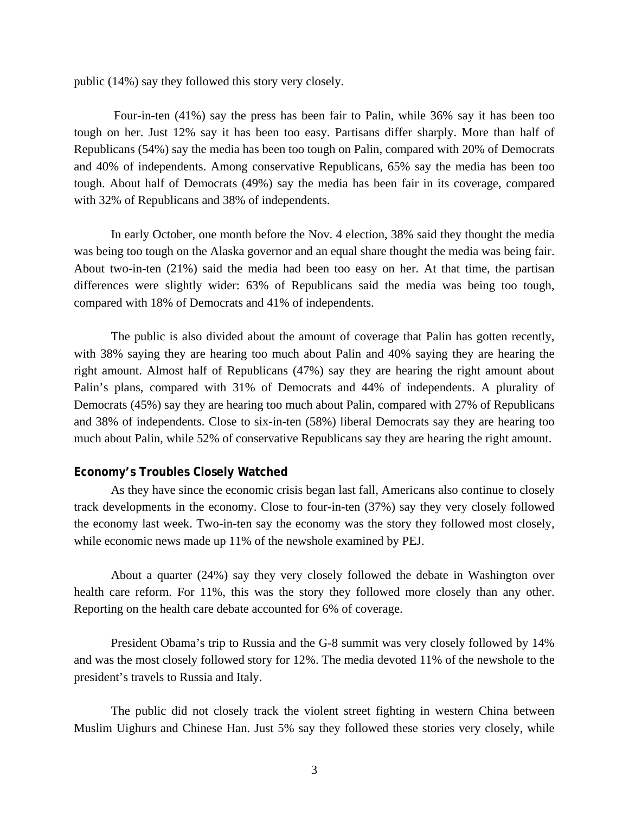public (14%) say they followed this story very closely.

 Four-in-ten (41%) say the press has been fair to Palin, while 36% say it has been too tough on her. Just 12% say it has been too easy. Partisans differ sharply. More than half of Republicans (54%) say the media has been too tough on Palin, compared with 20% of Democrats and 40% of independents. Among conservative Republicans, 65% say the media has been too tough. About half of Democrats (49%) say the media has been fair in its coverage, compared with 32% of Republicans and 38% of independents.

In early October, one month before the Nov. 4 election, 38% said they thought the media was being too tough on the Alaska governor and an equal share thought the media was being fair. About two-in-ten (21%) said the media had been too easy on her. At that time, the partisan differences were slightly wider: 63% of Republicans said the media was being too tough, compared with 18% of Democrats and 41% of independents.

The public is also divided about the amount of coverage that Palin has gotten recently, with 38% saying they are hearing too much about Palin and 40% saying they are hearing the right amount. Almost half of Republicans (47%) say they are hearing the right amount about Palin's plans, compared with 31% of Democrats and 44% of independents. A plurality of Democrats (45%) say they are hearing too much about Palin, compared with 27% of Republicans and 38% of independents. Close to six-in-ten (58%) liberal Democrats say they are hearing too much about Palin, while 52% of conservative Republicans say they are hearing the right amount.

### **Economy's Troubles Closely Watched**

 As they have since the economic crisis began last fall, Americans also continue to closely track developments in the economy. Close to four-in-ten (37%) say they very closely followed the economy last week. Two-in-ten say the economy was the story they followed most closely, while economic news made up 11% of the newshole examined by PEJ.

 About a quarter (24%) say they very closely followed the debate in Washington over health care reform. For 11%, this was the story they followed more closely than any other. Reporting on the health care debate accounted for 6% of coverage.

 President Obama's trip to Russia and the G-8 summit was very closely followed by 14% and was the most closely followed story for 12%. The media devoted 11% of the newshole to the president's travels to Russia and Italy.

 The public did not closely track the violent street fighting in western China between Muslim Uighurs and Chinese Han. Just 5% say they followed these stories very closely, while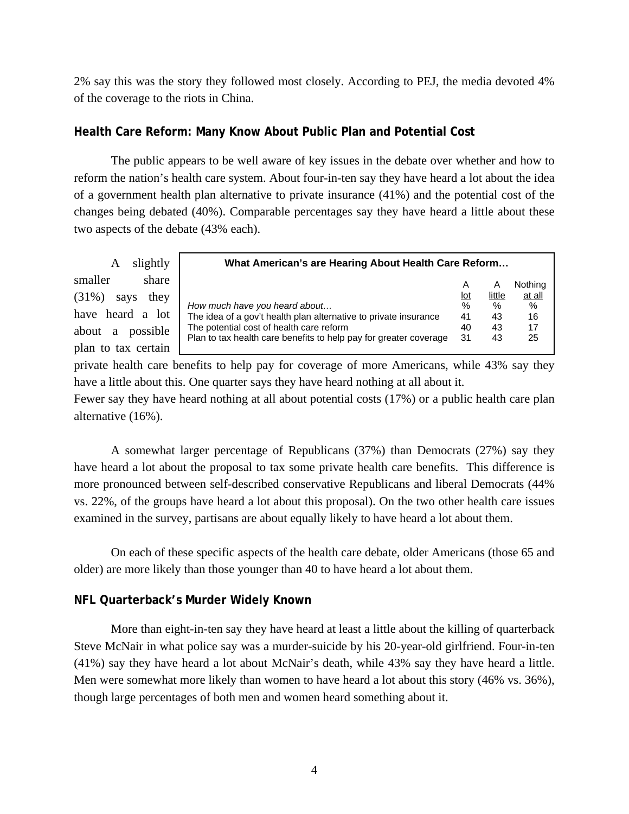2% say this was the story they followed most closely. According to PEJ, the media devoted 4% of the coverage to the riots in China.

# **Health Care Reform: Many Know About Public Plan and Potential Cost**

 The public appears to be well aware of key issues in the debate over whether and how to reform the nation's health care system. About four-in-ten say they have heard a lot about the idea of a government health plan alternative to private insurance (41%) and the potential cost of the changes being debated (40%). Comparable percentages say they have heard a little about these two aspects of the debate (43% each).

A slightly smaller share (31%) says they have heard a lot about a possible plan to tax certain

| What American's are Hearing About Health Care Reform              |            |        |         |  |  |  |
|-------------------------------------------------------------------|------------|--------|---------|--|--|--|
|                                                                   | A          | A      | Nothing |  |  |  |
|                                                                   | <u>lot</u> | little | at all  |  |  |  |
| How much have you heard about                                     | %          | $\%$   | $\%$    |  |  |  |
| The idea of a gov't health plan alternative to private insurance  | 41         | 43     | 16      |  |  |  |
| The potential cost of health care reform                          | 40         | 43     | 17      |  |  |  |
| Plan to tax health care benefits to help pay for greater coverage | 31         | 43     | 25      |  |  |  |

private health care benefits to help pay for coverage of more Americans, while 43% say they have a little about this. One quarter says they have heard nothing at all about it.

Fewer say they have heard nothing at all about potential costs (17%) or a public health care plan alternative (16%).

 A somewhat larger percentage of Republicans (37%) than Democrats (27%) say they have heard a lot about the proposal to tax some private health care benefits. This difference is more pronounced between self-described conservative Republicans and liberal Democrats (44% vs. 22%, of the groups have heard a lot about this proposal). On the two other health care issues examined in the survey, partisans are about equally likely to have heard a lot about them.

On each of these specific aspects of the health care debate, older Americans (those 65 and older) are more likely than those younger than 40 to have heard a lot about them.

# **NFL Quarterback's Murder Widely Known**

More than eight-in-ten say they have heard at least a little about the killing of quarterback Steve McNair in what police say was a murder-suicide by his 20-year-old girlfriend. Four-in-ten (41%) say they have heard a lot about McNair's death, while 43% say they have heard a little. Men were somewhat more likely than women to have heard a lot about this story (46% vs. 36%), though large percentages of both men and women heard something about it.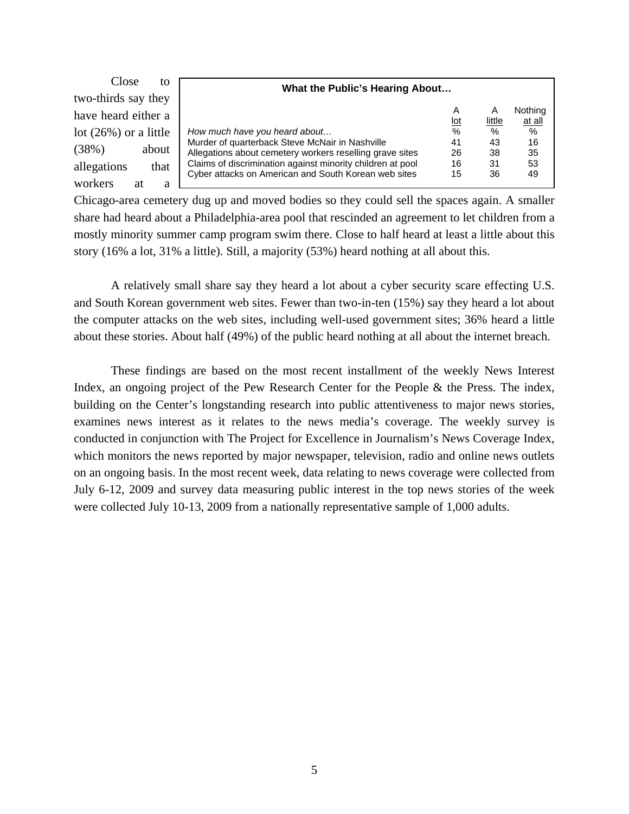| Close<br>to              | What the Public's Hearing About                            |                          |               |         |
|--------------------------|------------------------------------------------------------|--------------------------|---------------|---------|
| two-thirds say they      |                                                            |                          |               |         |
| have heard either a      |                                                            | A                        | А             | Nothing |
|                          |                                                            | $\underline{\text{lot}}$ | <u>little</u> | at all  |
| lot $(26\%)$ or a little | How much have you heard about                              | %                        | $\%$          | %       |
|                          | Murder of quarterback Steve McNair in Nashville            | 41                       | 43            | 16      |
| (38%)<br>about           | Allegations about cemetery workers reselling grave sites   | 26                       | 38            | 35      |
| allegations<br>that      | Claims of discrimination against minority children at pool | 16                       | 31            | 53      |
|                          | Cyber attacks on American and South Korean web sites       | 15                       | 36            | 49      |
| workers<br>at<br>a       |                                                            |                          |               |         |

Chicago-area cemetery dug up and moved bodies so they could sell the spaces again. A smaller share had heard about a Philadelphia-area pool that rescinded an agreement to let children from a mostly minority summer camp program swim there. Close to half heard at least a little about this story (16% a lot, 31% a little). Still, a majority (53%) heard nothing at all about this.

A relatively small share say they heard a lot about a cyber security scare effecting U.S. and South Korean government web sites. Fewer than two-in-ten (15%) say they heard a lot about the computer attacks on the web sites, including well-used government sites; 36% heard a little about these stories. About half (49%) of the public heard nothing at all about the internet breach.

These findings are based on the most recent installment of the weekly News Interest Index, an ongoing project of the Pew Research Center for the People & the Press. The index, building on the Center's longstanding research into public attentiveness to major news stories, examines news interest as it relates to the news media's coverage. The weekly survey is conducted in conjunction with The Project for Excellence in Journalism's News Coverage Index, which monitors the news reported by major newspaper, television, radio and online news outlets on an ongoing basis. In the most recent week, data relating to news coverage were collected from July 6-12, 2009 and survey data measuring public interest in the top news stories of the week were collected July 10-13, 2009 from a nationally representative sample of 1,000 adults.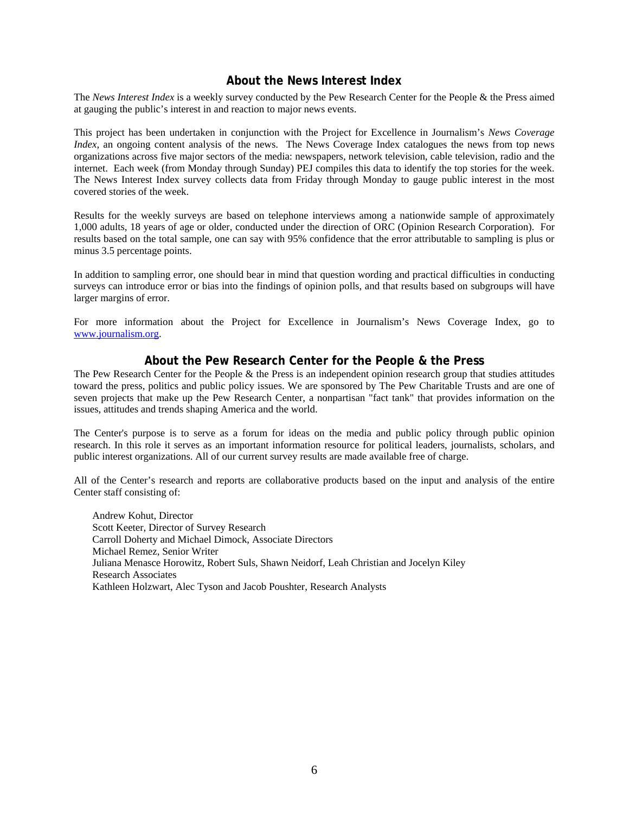## **About the News Interest Index**

The *News Interest Index* is a weekly survey conducted by the Pew Research Center for the People & the Press aimed at gauging the public's interest in and reaction to major news events.

This project has been undertaken in conjunction with the Project for Excellence in Journalism's *News Coverage Index*, an ongoing content analysis of the news. The News Coverage Index catalogues the news from top news organizations across five major sectors of the media: newspapers, network television, cable television, radio and the internet. Each week (from Monday through Sunday) PEJ compiles this data to identify the top stories for the week. The News Interest Index survey collects data from Friday through Monday to gauge public interest in the most covered stories of the week.

Results for the weekly surveys are based on telephone interviews among a nationwide sample of approximately 1,000 adults, 18 years of age or older, conducted under the direction of ORC (Opinion Research Corporation). For results based on the total sample, one can say with 95% confidence that the error attributable to sampling is plus or minus 3.5 percentage points.

In addition to sampling error, one should bear in mind that question wording and practical difficulties in conducting surveys can introduce error or bias into the findings of opinion polls, and that results based on subgroups will have larger margins of error.

For more information about the Project for Excellence in Journalism's News Coverage Index, go to www.journalism.org.

## **About the Pew Research Center for the People & the Press**

The Pew Research Center for the People & the Press is an independent opinion research group that studies attitudes toward the press, politics and public policy issues. We are sponsored by The Pew Charitable Trusts and are one of seven projects that make up the Pew Research Center, a nonpartisan "fact tank" that provides information on the issues, attitudes and trends shaping America and the world.

The Center's purpose is to serve as a forum for ideas on the media and public policy through public opinion research. In this role it serves as an important information resource for political leaders, journalists, scholars, and public interest organizations. All of our current survey results are made available free of charge.

All of the Center's research and reports are collaborative products based on the input and analysis of the entire Center staff consisting of:

 Andrew Kohut, Director Scott Keeter, Director of Survey Research Carroll Doherty and Michael Dimock, Associate Directors Michael Remez, Senior Writer Juliana Menasce Horowitz, Robert Suls, Shawn Neidorf, Leah Christian and Jocelyn Kiley Research Associates Kathleen Holzwart, Alec Tyson and Jacob Poushter, Research Analysts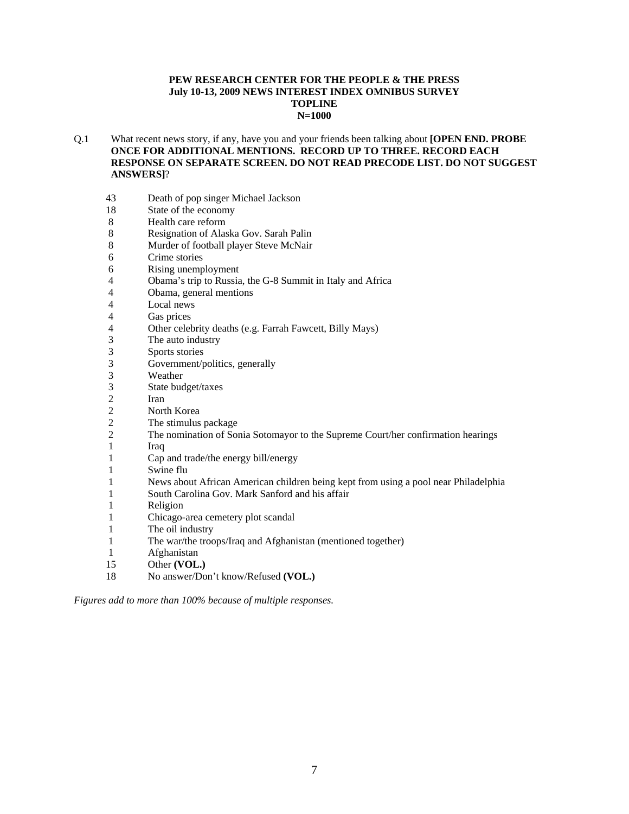#### **PEW RESEARCH CENTER FOR THE PEOPLE & THE PRESS July 10-13, 2009 NEWS INTEREST INDEX OMNIBUS SURVEY TOPLINE N=1000**

#### Q.1 What recent news story, if any, have you and your friends been talking about **[OPEN END. PROBE ONCE FOR ADDITIONAL MENTIONS. RECORD UP TO THREE. RECORD EACH RESPONSE ON SEPARATE SCREEN. DO NOT READ PRECODE LIST. DO NOT SUGGEST ANSWERS]**?

- 43 Death of pop singer Michael Jackson
- 18 State of the economy
- 8 Health care reform
- 8 Resignation of Alaska Gov. Sarah Palin
- 8 Murder of football player Steve McNair
- 6 Crime stories
- 6 Rising unemployment
- 4 Obama's trip to Russia, the G-8 Summit in Italy and Africa
- 4 Obama, general mentions
- 4 Local news<br>4 Gas prices
- 4 Gas prices<br>4 Other celeb
- Other celebrity deaths (e.g. Farrah Fawcett, Billy Mays)
- 3 The auto industry<br>3 Sports stories
- 3 Sports stories<br>3 Government/r
- Government/politics, generally
- 3 Weather<br>3 State buc
- State budget/taxes
- 2 Iran
- 2 North Korea<br>2 The stimulus
- The stimulus package
- 2 The nomination of Sonia Sotomayor to the Supreme Court/her confirmation hearings
- 1 Iraq
- 1 Cap and trade/the energy bill/energy
- 1 Swine flu
- 1 News about African American children being kept from using a pool near Philadelphia
- 1 South Carolina Gov. Mark Sanford and his affair
- 1 Religion
- 1 Chicago-area cemetery plot scandal
- 1 The oil industry
- 1 The war/the troops/Iraq and Afghanistan (mentioned together)
- 1 Afghanistan
- 15 Other **(VOL.)**
- 18 No answer/Don't know/Refused **(VOL.)**

*Figures add to more than 100% because of multiple responses.*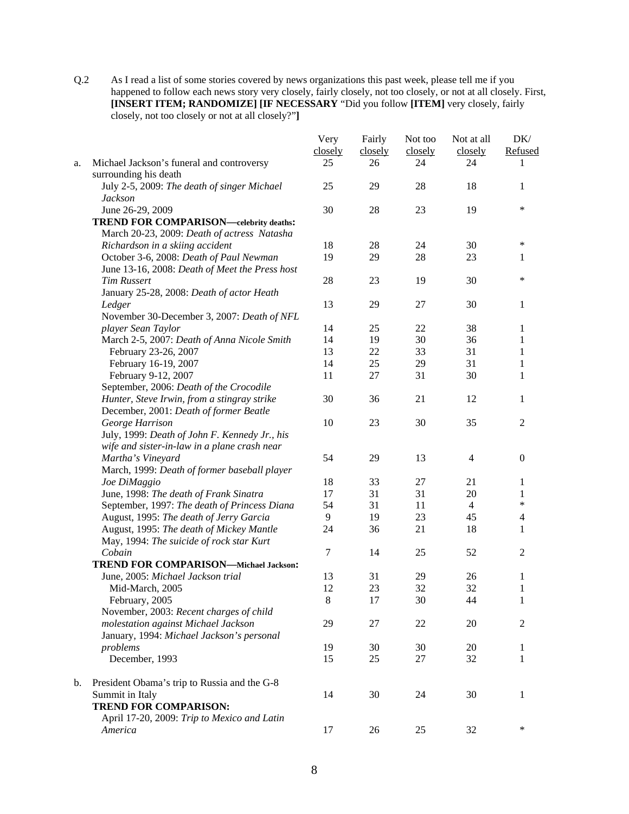Q.2 As I read a list of some stories covered by news organizations this past week, please tell me if you happened to follow each news story very closely, fairly closely, not too closely, or not at all closely. First, **[INSERT ITEM; RANDOMIZE] [IF NECESSARY** "Did you follow **[ITEM]** very closely, fairly closely, not too closely or not at all closely?"**]** 

|    |                                                                    | Very    | Fairly  | Not too | Not at all     | DK/              |
|----|--------------------------------------------------------------------|---------|---------|---------|----------------|------------------|
|    |                                                                    | closely | closely | closely | closely        | Refused          |
| a. | Michael Jackson's funeral and controversy<br>surrounding his death | 25      | 26      | 24      | 24             | 1                |
|    | July 2-5, 2009: The death of singer Michael                        | 25      | 29      | 28      | 18             | 1                |
|    | <b>Jackson</b>                                                     |         |         |         |                |                  |
|    | June 26-29, 2009                                                   | 30      | 28      | 23      | 19             | $\ast$           |
|    | <b>TREND FOR COMPARISON—celebrity deaths:</b>                      |         |         |         |                |                  |
|    | March 20-23, 2009: Death of actress Natasha                        |         |         |         |                |                  |
|    | Richardson in a skiing accident                                    | 18      | 28      | 24      | 30             | ∗                |
|    | October 3-6, 2008: Death of Paul Newman                            | 19      | 29      | 28      | 23             | 1                |
|    | June 13-16, 2008: Death of Meet the Press host                     |         |         |         |                |                  |
|    | <b>Tim Russert</b>                                                 | 28      | 23      | 19      | 30             | $\ast$           |
|    | January 25-28, 2008: Death of actor Heath                          |         |         |         |                |                  |
|    | Ledger                                                             | 13      | 29      | 27      | 30             | 1                |
|    | November 30-December 3, 2007: Death of NFL                         |         |         |         |                |                  |
|    | player Sean Taylor                                                 | 14      | 25      | 22      | 38             | 1                |
|    | March 2-5, 2007: Death of Anna Nicole Smith                        | 14      | 19      | 30      | 36             | 1                |
|    | February 23-26, 2007                                               | 13      | 22      | 33      | 31             | 1                |
|    | February 16-19, 2007                                               | 14      | 25      | 29      | 31             | $\mathbf{1}$     |
|    | February 9-12, 2007                                                | 11      | 27      | 31      | 30             | 1                |
|    | September, 2006: Death of the Crocodile                            |         |         |         |                |                  |
|    | Hunter, Steve Irwin, from a stingray strike                        | 30      | 36      | 21      | 12             | 1                |
|    | December, 2001: Death of former Beatle                             |         |         |         |                |                  |
|    | George Harrison                                                    | 10      | 23      | 30      | 35             | $\mathfrak{2}$   |
|    | July, 1999: Death of John F. Kennedy Jr., his                      |         |         |         |                |                  |
|    | wife and sister-in-law in a plane crash near                       |         |         |         |                |                  |
|    | Martha's Vineyard                                                  | 54      | 29      | 13      | $\overline{4}$ | $\boldsymbol{0}$ |
|    | March, 1999: Death of former baseball player                       |         |         |         |                |                  |
|    | Joe DiMaggio                                                       | 18      | 33      | 27      | 21             | 1                |
|    | June, 1998: The death of Frank Sinatra                             | 17      | 31      | 31      | 20             | 1                |
|    | September, 1997: The death of Princess Diana                       | 54      | 31      | 11      | $\overline{4}$ | $\ast$           |
|    | August, 1995: The death of Jerry Garcia                            | 9       | 19      | 23      | 45             | $\overline{4}$   |
|    | August, 1995: The death of Mickey Mantle                           | 24      | 36      | 21      | 18             | 1                |
|    | May, 1994: The suicide of rock star Kurt                           |         |         |         |                |                  |
|    | Cobain                                                             | $\tau$  | 14      | 25      | 52             | $\overline{2}$   |
|    | <b>TREND FOR COMPARISON-Michael Jackson:</b>                       |         |         |         |                |                  |
|    | June, 2005: Michael Jackson trial                                  | 13      | 31      | 29      | 26             | 1                |
|    | Mid-March, 2005                                                    | 12      | 23      | 32      | 32             | 1                |
|    | February, 2005                                                     | $\,8\,$ | 17      | 30      | 44             |                  |
|    | November, 2003: Recent charges of child                            |         |         |         |                | 1                |
|    | molestation against Michael Jackson                                | 29      | 27      | 22      | 20             | $\overline{2}$   |
|    |                                                                    |         |         |         |                |                  |
|    | January, 1994: Michael Jackson's personal<br>problems              | 19      | 30      | 30      | 20             | 1                |
|    | December, 1993                                                     | 15      | 25      | 27      | 32             | 1                |
|    |                                                                    |         |         |         |                |                  |
| b. | President Obama's trip to Russia and the G-8                       |         |         |         |                |                  |
|    | Summit in Italy                                                    | 14      | 30      | 24      | 30             | 1                |
|    | <b>TREND FOR COMPARISON:</b>                                       |         |         |         |                |                  |
|    | April 17-20, 2009: Trip to Mexico and Latin                        |         |         |         |                |                  |
|    | America                                                            | 17      | 26      | 25      | 32             | $\ast$           |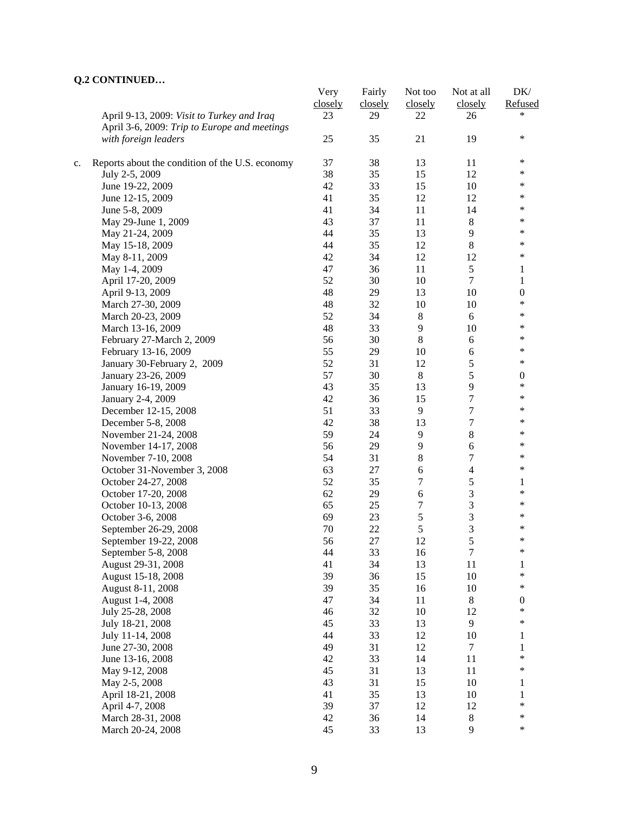# **Q.2 CONTINUED…**

|    |                                                 | Very    | Fairly  | Not too          | Not at all       | DK/              |
|----|-------------------------------------------------|---------|---------|------------------|------------------|------------------|
|    |                                                 | closely | closely | closely          | closely          | Refused          |
|    | April 9-13, 2009: Visit to Turkey and Iraq      | 23      | 29      | 22               | 26               | *                |
|    | April 3-6, 2009: Trip to Europe and meetings    |         |         |                  |                  |                  |
|    | with foreign leaders                            | 25      | 35      | 21               | 19               | $\ast$           |
|    |                                                 |         |         |                  |                  |                  |
| c. | Reports about the condition of the U.S. economy | 37      | 38      | 13               | 11               | ∗                |
|    | July 2-5, 2009                                  | 38      | 35      | 15               | 12               | $\ast$           |
|    | June 19-22, 2009                                | 42      | 33      | 15               | $10\,$           | ∗                |
|    | June 12-15, 2009                                | 41      | 35      | 12               | 12               | ∗                |
|    | June 5-8, 2009                                  | 41      | 34      | 11               | 14               | ∗                |
|    | May 29-June 1, 2009                             | 43      | 37      | 11               | 8                | $\ast$           |
|    | May 21-24, 2009                                 | 44      | 35      | 13               | 9                | ∗                |
|    | May 15-18, 2009                                 | 44      | 35      | 12               | $8\,$            | ∗                |
|    | May 8-11, 2009                                  | 42      | 34      | 12               | 12               | $\ast$           |
|    | May 1-4, 2009                                   | 47      | 36      | 11               | $\mathfrak s$    | 1                |
|    | April 17-20, 2009                               | 52      | 30      | 10               | $\overline{7}$   | $\mathbf{1}$     |
|    | April 9-13, 2009                                | 48      | 29      | 13               | 10               | $\boldsymbol{0}$ |
|    | March 27-30, 2009                               | 48      | 32      | 10               | 10               | $\ast$           |
|    | March 20-23, 2009                               | 52      | 34      | $\,8\,$          | 6                | $\ast$           |
|    | March 13-16, 2009                               | 48      | 33      | $\overline{9}$   | 10               | $\ast$           |
|    | February 27-March 2, 2009                       | 56      | 30      | $8\,$            | $\sqrt{6}$       | ∗                |
|    | February 13-16, 2009                            | 55      | 29      | 10               | $\boldsymbol{6}$ | $\ast$           |
|    | January 30-February 2, 2009                     | 52      | 31      | 12               | 5                | $\ast$           |
|    | January 23-26, 2009                             | 57      | 30      | $\,8\,$          | 5                | $\boldsymbol{0}$ |
|    | January 16-19, 2009                             | 43      | 35      | 13               | 9                | $\ast$           |
|    | January 2-4, 2009                               | 42      | 36      | 15               | $\tau$           | $\ast$           |
|    | December 12-15, 2008                            | 51      | 33      | 9                | 7                | $\ast$           |
|    | December 5-8, 2008                              | 42      | 38      | 13               | $\overline{7}$   | $\ast$           |
|    | November 21-24, 2008                            | 59      | 24      | 9                | $8\,$            | $\ast$           |
|    | November 14-17, 2008                            | 56      | 29      | 9                | 6                | $\ast$           |
|    | November 7-10, 2008                             | 54      | 31      | $\,8\,$          | $\overline{7}$   | $\ast$           |
|    | October 31-November 3, 2008                     | 63      | 27      | $\sqrt{6}$       | $\overline{4}$   | $\ast$           |
|    |                                                 | 52      |         |                  | 5                |                  |
|    | October 24-27, 2008                             |         | 35      | 7                |                  | 1<br>$\ast$      |
|    | October 17-20, 2008                             | 62      | 29      | $\sqrt{6}$       | $\mathfrak{Z}$   | $\ast$           |
|    | October 10-13, 2008                             | 65      | 25      | $\boldsymbol{7}$ | 3                | *                |
|    | October 3-6, 2008                               | 69      | 23      | 5                | 3                | *                |
|    | September 26-29, 2008                           | 70      | 22      | 5                | 3                | ∗                |
|    | September 19-22, 2008                           | 56      | 27      | 12               | 5                |                  |
|    | September 5-8, 2008                             | 44      | 33      | 16               | 7                | ∗                |
|    | August 29-31, 2008                              | 41      | 34      | 13               | 11               | 1                |
|    | August 15-18, 2008                              | 39      | 36      | 15               | 10               | *                |
|    | August 8-11, 2008                               | 39      | 35      | 16               | 10               | *                |
|    | August 1-4, 2008                                | 47      | 34      | $11\,$           | $\,8\,$          | $\boldsymbol{0}$ |
|    | July 25-28, 2008                                | 46      | 32      | $10\,$           | 12               | *                |
|    | July 18-21, 2008                                | 45      | 33      | 13               | 9                | $\ast$           |
|    | July 11-14, 2008                                | 44      | 33      | 12               | 10               | $\mathbf{1}$     |
|    | June 27-30, 2008                                | 49      | 31      | 12               | $\tau$           | $\mathbf{1}$     |
|    | June 13-16, 2008                                | 42      | 33      | 14               | 11               | $\ast$           |
|    | May 9-12, 2008                                  | 45      | 31      | 13               | 11               | *                |
|    | May 2-5, 2008                                   | 43      | 31      | 15               | 10               | $\mathbf{1}$     |
|    | April 18-21, 2008                               | 41      | 35      | 13               | 10               | 1                |
|    | April 4-7, 2008                                 | 39      | 37      | 12               | 12               | *                |
|    | March 28-31, 2008                               | 42      | 36      | 14               | $8\,$            | *                |
|    | March 20-24, 2008                               | 45      | 33      | 13               | 9                | *                |
|    |                                                 |         |         |                  |                  |                  |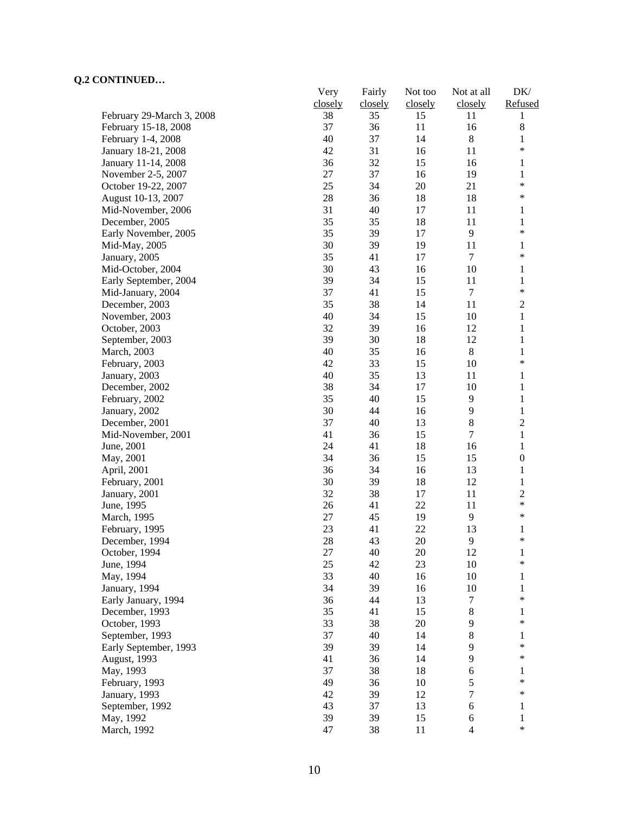# **Q.2 CONTINUED…**

|                           | Very    | Fairly  | Not too | Not at all       | DK/              |
|---------------------------|---------|---------|---------|------------------|------------------|
|                           | closely | closely | closely | closely          | Refused          |
| February 29-March 3, 2008 | 38      | 35      | 15      | 11               | 1                |
| February 15-18, 2008      | 37      | 36      | 11      | 16               | $\,8\,$          |
| February 1-4, 2008        | 40      | 37      | 14      | $\,8\,$          | $\mathbf{1}$     |
| January 18-21, 2008       | 42      | 31      | 16      | 11               | ∗                |
| January 11-14, 2008       | 36      | 32      | 15      | 16               | 1                |
| November 2-5, 2007        | 27      | 37      | 16      | 19               | $\mathbf{1}$     |
| October 19-22, 2007       | 25      | 34      | 20      | 21               | $\ast$           |
| August 10-13, 2007        | $28\,$  | 36      | 18      | 18               | $\ast$           |
| Mid-November, 2006        | 31      | 40      | 17      | 11               | 1                |
| December, 2005            | 35      | 35      | 18      | 11               | 1                |
| Early November, 2005      | 35      | 39      | 17      | 9                | $\ast$           |
| Mid-May, 2005             | 30      | 39      | 19      | 11               | 1                |
| January, 2005             | 35      | 41      | 17      | $\tau$           | ∗                |
| Mid-October, 2004         | 30      | 43      | 16      | 10               | 1                |
| Early September, 2004     | 39      | 34      | 15      | 11               | $\mathbf{1}$     |
| Mid-January, 2004         | 37      | 41      | 15      | $\tau$           | $\ast$           |
| December, 2003            | 35      | 38      | 14      | 11               | $\mathbf{2}$     |
| November, 2003            | 40      | 34      | 15      | 10               | $\mathbf{1}$     |
| October, 2003             | 32      | 39      | 16      | 12               | $\mathbf{1}$     |
| September, 2003           | 39      | 30      | 18      | 12               | $\mathbf{1}$     |
| March, 2003               | 40      | 35      | 16      | $\,8\,$          | 1                |
| February, 2003            | 42      | 33      | 15      | 10               | *                |
| January, 2003             | 40      | 35      | 13      | 11               | $\mathbf{1}$     |
| December, 2002            | 38      | 34      | 17      | 10               | $\mathbf{1}$     |
| February, 2002            | 35      | 40      | 15      | 9                | $\mathbf{1}$     |
| January, 2002             | 30      | 44      | 16      | $\mathbf{9}$     | $\mathbf{1}$     |
| December, 2001            | 37      | 40      | 13      | $8\,$            | $\mathbf{2}$     |
| Mid-November, 2001        | 41      | 36      | 15      | $\tau$           | $\mathbf{1}$     |
| June, 2001                | 24      | 41      | 18      | 16               | 1                |
| May, 2001                 | 34      | 36      | 15      | 15               | $\boldsymbol{0}$ |
| April, 2001               | 36      | 34      | 16      | 13               | 1                |
| February, 2001            | 30      | 39      | 18      | 12               | $\mathbf{1}$     |
| January, 2001             | 32      | 38      | 17      | 11               | $\mathfrak{2}$   |
| June, 1995                | 26      | 41      | 22      | 11               | $\ast$           |
| March, 1995               | 27      | 45      | 19      | 9                | $\ast$           |
| February, 1995            | 23      | 41      | 22      | 13               | 1                |
| December, 1994            | 28      | 43      | 20      | 9                | $\ast$           |
| October, 1994             | 27      | 40      | 20      | 12               | $\mathbf{1}$     |
| June, 1994                | 25      | 42      | 23      | 10               | $\ast$           |
| May, 1994                 | 33      | 40      | 16      | 10               | 1                |
| January, 1994             | 34      | 39      | 16      | 10               | 1                |
| Early January, 1994       | 36      | 44      | 13      | 7                | ∗                |
| December, 1993            | 35      | 41      | 15      | 8                | 1                |
| October, 1993             | 33      | 38      | 20      | 9                | *                |
| September, 1993           | 37      | 40      | 14      | 8                | 1                |
| Early September, 1993     | 39      | 39      | 14      | 9                | ∗                |
| August, 1993              | 41      | 36      | 14      | 9                | $\ast$           |
| May, 1993                 | 37      | 38      | 18      | 6                | 1                |
| February, 1993            | 49      | 36      | 10      | 5                | $\ast$           |
| January, 1993             | 42      | 39      | 12      | $\boldsymbol{7}$ | ∗                |
| September, 1992           | 43      | 37      | 13      | $\epsilon$       | $\mathbf{1}$     |
| May, 1992                 | 39      | 39      | 15      | 6                | 1                |
|                           | 47      | 38      | 11      | $\overline{4}$   | $\ast$           |
| March, 1992               |         |         |         |                  |                  |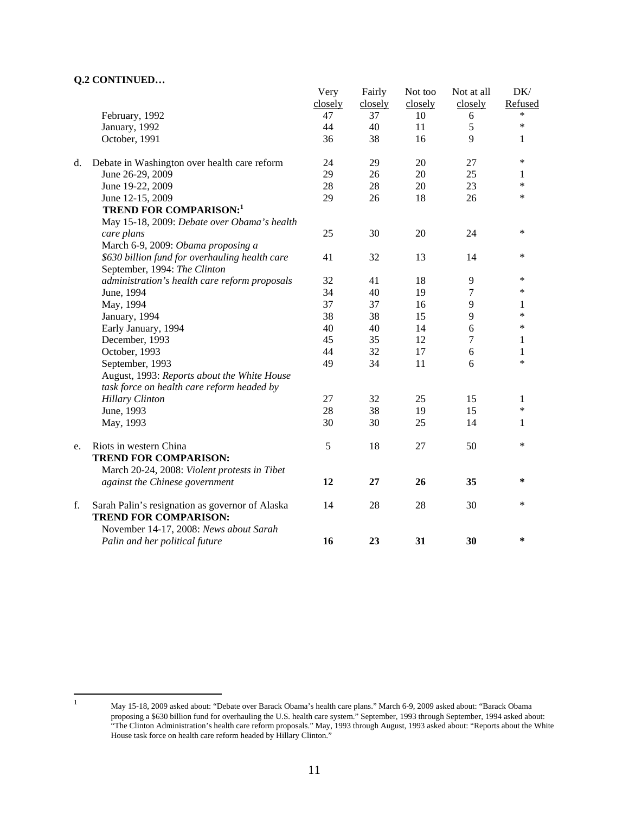#### **Q.2 CONTINUED…**

|    |                                                 | Very    | Fairly  | Not too | Not at all     | DK/          |
|----|-------------------------------------------------|---------|---------|---------|----------------|--------------|
|    |                                                 | closely | closely | closely | closely        | Refused      |
|    | February, 1992                                  | 47      | 37      | 10      | 6              | $\ast$       |
|    | January, 1992                                   | 44      | 40      | 11      | 5              | $\ast$       |
|    | October, 1991                                   | 36      | 38      | 16      | 9              | 1            |
| d. | Debate in Washington over health care reform    | 24      | 29      | 20      | 27             | ∗            |
|    | June 26-29, 2009                                | 29      | 26      | 20      | 25             | 1            |
|    | June 19-22, 2009                                | 28      | $28\,$  | 20      | 23             | $\ast$       |
|    | June 12-15, 2009                                | 29      | 26      | 18      | 26             | $\ast$       |
|    | <b>TREND FOR COMPARISON:1</b>                   |         |         |         |                |              |
|    | May 15-18, 2009: Debate over Obama's health     |         |         |         |                |              |
|    | care plans                                      | 25      | 30      | 20      | 24             | $\ast$       |
|    | March 6-9, 2009: Obama proposing a              |         |         |         |                |              |
|    | \$630 billion fund for overhauling health care  | 41      | 32      | 13      | 14             | $\ast$       |
|    | September, 1994: The Clinton                    |         |         |         |                |              |
|    | administration's health care reform proposals   | 32      | 41      | 18      | 9              | $\ast$       |
|    | June, 1994                                      | 34      | 40      | 19      | 7              | $\ast$       |
|    | May, 1994                                       | 37      | 37      | 16      | 9              | 1            |
|    | January, 1994                                   | 38      | 38      | 15      | 9              | $\ast$       |
|    | Early January, 1994                             | 40      | 40      | 14      | 6              | $\ast$       |
|    | December, 1993                                  | 45      | 35      | 12      | $\overline{7}$ | 1            |
|    | October, 1993                                   | 44      | 32      | 17      | 6              | $\mathbf{1}$ |
|    | September, 1993                                 | 49      | 34      | 11      | 6              | $\ast$       |
|    | August, 1993: Reports about the White House     |         |         |         |                |              |
|    | task force on health care reform headed by      |         |         |         |                |              |
|    | <b>Hillary Clinton</b>                          | 27      | 32      | 25      | 15             | 1            |
|    | June, 1993                                      | 28      | 38      | 19      | 15             | $\ast$       |
|    | May, 1993                                       | 30      | 30      | 25      | 14             | 1            |
| e. | Riots in western China                          | 5       | 18      | 27      | 50             | $\ast$       |
|    | <b>TREND FOR COMPARISON:</b>                    |         |         |         |                |              |
|    | March 20-24, 2008: Violent protests in Tibet    |         |         |         |                |              |
|    | against the Chinese government                  | 12      | 27      | 26      | 35             | $\ast$       |
| f. | Sarah Palin's resignation as governor of Alaska | 14      | 28      | 28      | 30             | *            |
|    | <b>TREND FOR COMPARISON:</b>                    |         |         |         |                |              |
|    | November 14-17, 2008: News about Sarah          |         |         |         |                |              |
|    | Palin and her political future                  | 16      | 23      | 31      | 30             | $\ast$       |
|    |                                                 |         |         |         |                |              |

 $\frac{1}{1}$ 

May 15-18, 2009 asked about: "Debate over Barack Obama's health care plans." March 6-9, 2009 asked about: "Barack Obama proposing a \$630 billion fund for overhauling the U.S. health care system." September, 1993 through September, 1994 asked about: "The Clinton Administration's health care reform proposals." May, 1993 through August, 1993 asked about: "Reports about the White House task force on health care reform headed by Hillary Clinton."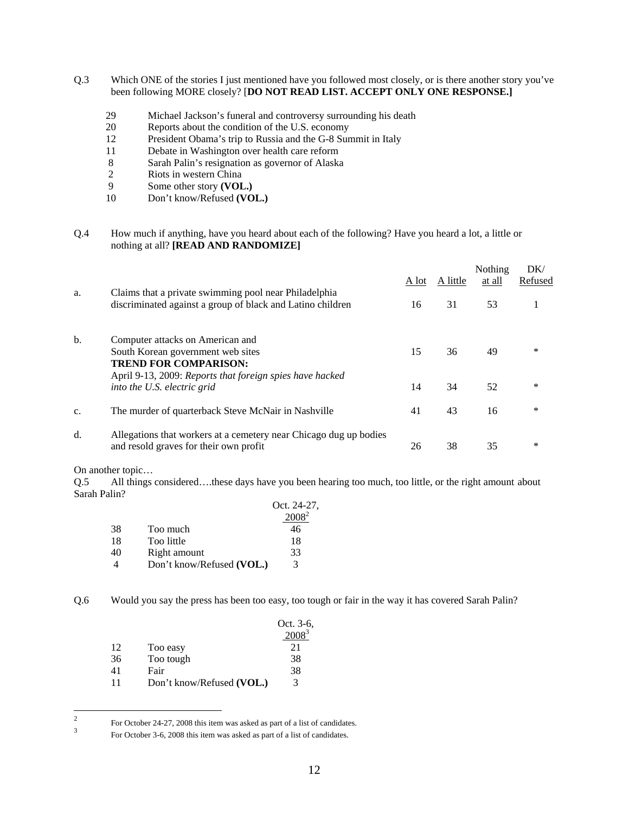- Q.3 Which ONE of the stories I just mentioned have you followed most closely, or is there another story you've been following MORE closely? [**DO NOT READ LIST. ACCEPT ONLY ONE RESPONSE.]** 
	- 29 Michael Jackson's funeral and controversy surrounding his death
	- 20 Reports about the condition of the U.S. economy
	- 12 President Obama's trip to Russia and the G-8 Summit in Italy
	- 11 Debate in Washington over health care reform
	- 8 Sarah Palin's resignation as governor of Alaska
	- 2 Riots in western China<br>9 Some other story (VOI
	- Some other story **(VOL.)**
	- 10 Don't know/Refused **(VOL.)**
- Q.4 How much if anything, have you heard about each of the following? Have you heard a lot, a little or nothing at all? **[READ AND RANDOMIZE]**

|                |                                                                                                                                                                   | A lot | A little | Nothing<br>at all | DK/<br>Refused |
|----------------|-------------------------------------------------------------------------------------------------------------------------------------------------------------------|-------|----------|-------------------|----------------|
| a.             | Claims that a private swimming pool near Philadelphia<br>discriminated against a group of black and Latino children                                               | 16    | 31       | 53                |                |
| b.             | Computer attacks on American and<br>South Korean government web sites<br><b>TREND FOR COMPARISON:</b><br>April 9-13, 2009: Reports that foreign spies have hacked | 15    | 36       | 49                | *              |
|                | into the U.S. electric grid                                                                                                                                       | 14    | 34       | 52                | $\ast$         |
| C <sub>1</sub> | The murder of quarterback Steve McNair in Nashville                                                                                                               | 41    | 43       | 16                | *              |
| d.             | Allegations that workers at a cemetery near Chicago dug up bodies<br>and resold graves for their own profit                                                       | 26    | 38       | 35                | ∗              |

On another topic…

Q.5 All things considered….these days have you been hearing too much, too little, or the right amount about Sarah Palin?

|    |                           | Oct. 24-27, |
|----|---------------------------|-------------|
|    |                           |             |
| 38 | Too much                  | 46          |
| 18 | Too little                | 18          |
| 40 | Right amount              | 33          |
| Δ  | Don't know/Refused (VOL.) | 3           |

Q.6 Would you say the press has been too easy, too tough or fair in the way it has covered Sarah Palin?

|    |                           | Oct. 3-6, |
|----|---------------------------|-----------|
|    |                           | 20003     |
| 12 | Too easy                  | 21        |
| 36 | Too tough                 | 38        |
| 41 | Fair                      | 38        |
| 11 | Don't know/Refused (VOL.) | 3         |

 $\frac{1}{2}$ For October 24-27, 2008 this item was asked as part of a list of candidates.

For October 3-6, 2008 this item was asked as part of a list of candidates.